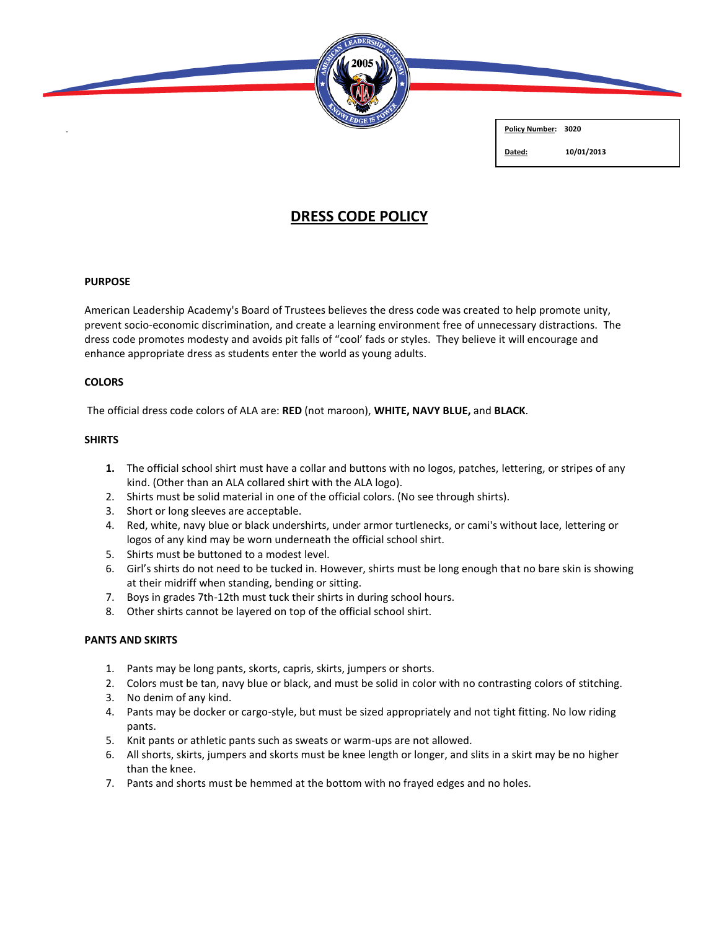

**Policy Number: 3020**

**Dated: 10/01/2013**

# **DRESS CODE POLICY**

## **PURPOSE**

American Leadership Academy's Board of Trustees believes the dress code was created to help promote unity, prevent socio-economic discrimination, and create a learning environment free of unnecessary distractions. The dress code promotes modesty and avoids pit falls of "cool' fads or styles. They believe it will encourage and enhance appropriate dress as students enter the world as young adults.

## **COLORS**

The official dress code colors of ALA are: **RED** (not maroon), **WHITE, NAVY BLUE,** and **BLACK**.

# **SHIRTS**

- **1.** The official school shirt must have a collar and buttons with no logos, patches, lettering, or stripes of any kind. (Other than an ALA collared shirt with the ALA logo).
- 2. Shirts must be solid material in one of the official colors. (No see through shirts).
- 3. Short or long sleeves are acceptable.
- 4. Red, white, navy blue or black undershirts, under armor turtlenecks, or cami's without lace, lettering or logos of any kind may be worn underneath the official school shirt.
- 5. Shirts must be buttoned to a modest level.
- 6. Girl's shirts do not need to be tucked in. However, shirts must be long enough that no bare skin is showing at their midriff when standing, bending or sitting.
- 7. Boys in grades 7th-12th must tuck their shirts in during school hours.
- 8. Other shirts cannot be layered on top of the official school shirt.

## **PANTS AND SKIRTS**

- 1. Pants may be long pants, skorts, capris, skirts, jumpers or shorts.
- 2. Colors must be tan, navy blue or black, and must be solid in color with no contrasting colors of stitching.
- 3. No denim of any kind.
- 4. Pants may be docker or cargo-style, but must be sized appropriately and not tight fitting. No low riding pants.
- 5. Knit pants or athletic pants such as sweats or warm-ups are not allowed.
- 6. All shorts, skirts, jumpers and skorts must be knee length or longer, and slits in a skirt may be no higher than the knee.
- 7. Pants and shorts must be hemmed at the bottom with no frayed edges and no holes.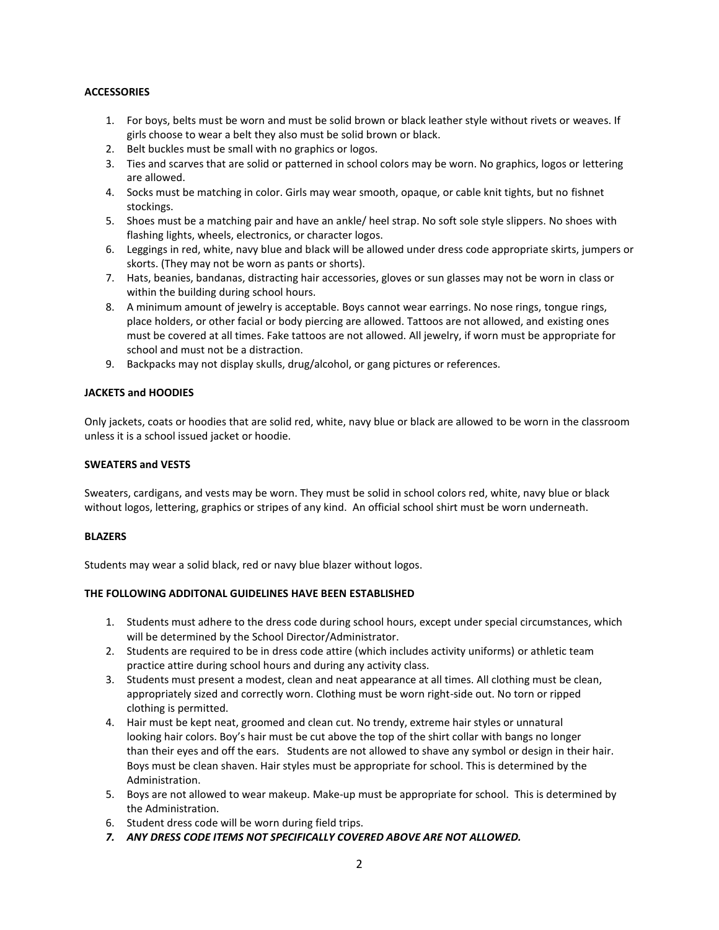## **ACCESSORIES**

- 1. For boys, belts must be worn and must be solid brown or black leather style without rivets or weaves. If girls choose to wear a belt they also must be solid brown or black.
- 2. Belt buckles must be small with no graphics or logos.
- 3. Ties and scarves that are solid or patterned in school colors may be worn. No graphics, logos or lettering are allowed.
- 4. Socks must be matching in color. Girls may wear smooth, opaque, or cable knit tights, but no fishnet stockings.
- 5. Shoes must be a matching pair and have an ankle/ heel strap. No soft sole style slippers. No shoes with flashing lights, wheels, electronics, or character logos.
- 6. Leggings in red, white, navy blue and black will be allowed under dress code appropriate skirts, jumpers or skorts. (They may not be worn as pants or shorts).
- 7. Hats, beanies, bandanas, distracting hair accessories, gloves or sun glasses may not be worn in class or within the building during school hours.
- 8. A minimum amount of jewelry is acceptable. Boys cannot wear earrings. No nose rings, tongue rings, place holders, or other facial or body piercing are allowed. Tattoos are not allowed, and existing ones must be covered at all times. Fake tattoos are not allowed. All jewelry, if worn must be appropriate for school and must not be a distraction.
- 9. Backpacks may not display skulls, drug/alcohol, or gang pictures or references.

## **JACKETS and HOODIES**

Only jackets, coats or hoodies that are solid red, white, navy blue or black are allowed to be worn in the classroom unless it is a school issued jacket or hoodie.

## **SWEATERS and VESTS**

Sweaters, cardigans, and vests may be worn. They must be solid in school colors red, white, navy blue or black without logos, lettering, graphics or stripes of any kind. An official school shirt must be worn underneath.

#### **BLAZERS**

Students may wear a solid black, red or navy blue blazer without logos.

## **THE FOLLOWING ADDITONAL GUIDELINES HAVE BEEN ESTABLISHED**

- 1. Students must adhere to the dress code during school hours, except under special circumstances, which will be determined by the School Director/Administrator.
- 2. Students are required to be in dress code attire (which includes activity uniforms) or athletic team practice attire during school hours and during any activity class.
- 3. Students must present a modest, clean and neat appearance at all times. All clothing must be clean, appropriately sized and correctly worn. Clothing must be worn right-side out. No torn or ripped clothing is permitted.
- 4. Hair must be kept neat, groomed and clean cut. No trendy, extreme hair styles or unnatural looking hair colors. Boy's hair must be cut above the top of the shirt collar with bangs no longer than their eyes and off the ears. Students are not allowed to shave any symbol or design in their hair. Boys must be clean shaven. Hair styles must be appropriate for school. This is determined by the Administration.
- 5. Boys are not allowed to wear makeup. Make-up must be appropriate for school. This is determined by the Administration.
- 6. Student dress code will be worn during field trips.
- *7. ANY DRESS CODE ITEMS NOT SPECIFICALLY COVERED ABOVE ARE NOT ALLOWED.*